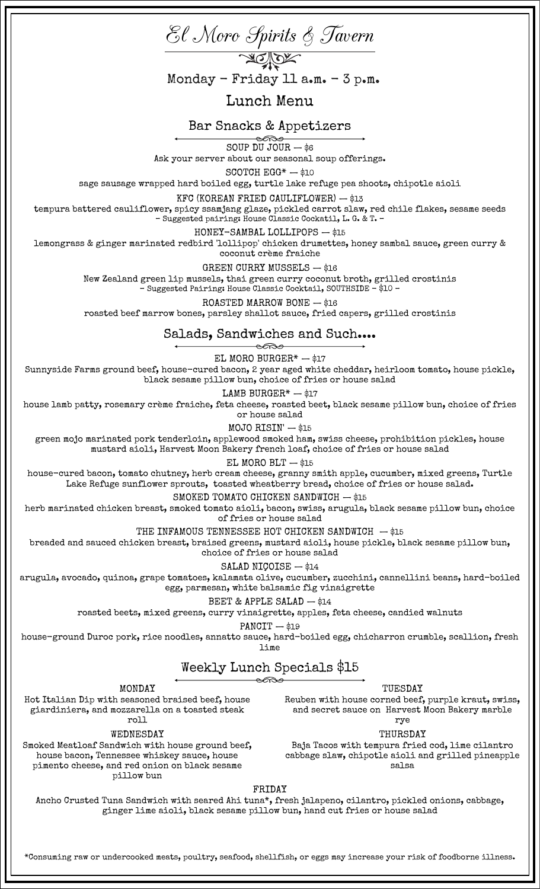El Moro Spirits & Tavern Lunch Menu Bar Snacks & Appetizers SOUP DU JOUR  $-$  \$6 Ask your server about our seasonal soup offerings. SCOTCH  $EGG^* - $10$ sage sausage wrapped hard boiled egg, turtle lake refuge pea shoots, chipotle aioli KFC (KOREAN FRIED CAULIFLOWER) — \$13 tempura battered cauliflower, spicy ssamjang glaze, pickled carrot slaw, red chile flakes, sesame seeds – Suggested pairing: House Classic Cockatil, L. G. & T. – HONEY-SAMBAL LOLLIPOPS — \$15 lemongrass & ginger marinated redbird 'lollipop' chicken drumettes, honey sambal sauce, green curry & coconut crème fraiche GREEN CURRY MUSSELS — \$16 New Zealand green lip mussels, thai green curry coconut broth, grilled crostinis – Suggested Pairing: House Classic Cocktail, SOUTHSIDE - \$10 – ROASTED MARROW BONE — \$16 roasted beef marrow bones, parsley shallot sauce, fried capers, grilled crostinis Salads, Sandwiches and Such.... EL MORO BURGER $* - $17$ Sunnyside Farms ground beef, house-cured bacon, 2 year aged white cheddar, heirloom tomato, house pickle, black sesame pillow bun, choice of fries or house salad LAMB BURGER $* -$ \$17 house lamb patty, rosemary crème fraiche, feta cheese, roasted beet, black sesame pillow bun, choice of fries or house salad MOJO RISIN' — \$15 green mojo marinated pork tenderloin, applewood smoked ham, swiss cheese, prohibition pickles, house mustard aioli, Harvest Moon Bakery french loaf, choice of fries or house salad EL MORO BLT  $-$  \$15 house-cured bacon, tomato chutney, herb cream cheese, granny smith apple, cucumber, mixed greens, Turtle Lake Refuge sunflower sprouts, toasted wheatberry bread, choice of fries or house salad. SMOKED TOMATO CHICKEN SANDWICH - \$15 herb marinated chicken breast, smoked tomato aioli, bacon, swiss, arugula, black sesame pillow bun, choice of fries or house salad THE INFAMOUS TENNESSEE HOT CHICKEN SANDWICH  $-$ \$15 breaded and sauced chicken breast, braised greens, mustard aioli, house pickle, black sesame pillow bun, choice of fries or house salad SALAD NICOISE - \$14 arugula, avocado, quinoa, grape tomatoes, kalamata olive, cucumber, zucchini, cannellini beans, hard-boiled egg, parmesan, white balsamic fig vinaigrette BEET & APPLE SALAD - \$14 roasted beets, mixed greens, curry vinaigrette, apples, feta cheese, candied walnuts  $PANCIT - $19$ house-ground Duroc pork, rice noodles, annatto sauce, hard-boiled egg, chicharron crumble, scallion, fresh lime Weekly Lunch Specials \$15 MONDAY Hot Italian Dip with seasoned braised beef, house giardiniera, and mozzarella on a toasted steak roll TUESDAY Reuben with house corned beef, purple kraut, swiss, and secret sauce on Harvest Moon Bakery marble rye WEDNESDAY THURSDAY Baja Tacos with tempura fried cod, lime cilantro Monday - Friday 11  $a_{\text{em}}$ . - 3  $p_{\text{em}}$ .

Smoked Meatloaf Sandwich with house ground beef, house bacon, Tennessee whiskey sauce, house pimento cheese, and red onion on black sesame pillow bun

FRIDAY

cabbage slaw, chipotle aioli and grilled pineapple salsa

Ancho Crusted Tuna Sandwich with seared Ahi tuna\*, fresh jalapeno, cilantro, pickled onions, cabbage, ginger lime aioli, black sesame pillow bun, hand cut fries or house salad

\*Consuming raw or undercooked meats, poultry, seafood, shellfish, or eggs may increase your risk of foodborne illness.